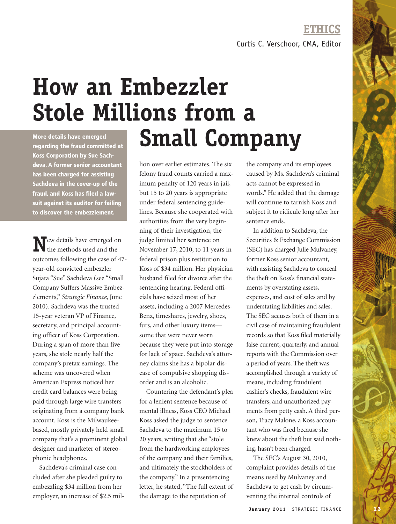## Curtis C. Verschoor, CMA, Editor **ETHICS**

# **How an Embezzler Stole Millions from a**  More details have emerged<br>regarding the fraud committed at **Small Company**

**regarding the fraud committed at Koss Corporation by Sue Sachdeva. A former senior accountant has been charged for assisting Sachdeva in the cover-up of the fraud, and Koss has filed a lawsuit against its auditor for failing to discover the embezzlement.**

**N**ew details have emerged on the methods used and the outcomes following the case of 47 year-old convicted embezzler Sujata "Sue" Sachdeva (see "Small Company Suffers Massive Embezzlements," *Strategic Finance*, June 2010). Sachdeva was the trusted 15-year veteran VP of Finance, secretary, and principal accounting officer of Koss Corporation. During a span of more than five years, she stole nearly half the company's pretax earnings. The scheme was uncovered when American Express noticed her credit card balances were being paid through large wire transfers originating from a company bank account. Koss is the Milwaukeebased, mostly privately held small company that's a prominent global designer and marketer of stereophonic headphones.

Sachdeva's criminal case concluded after she pleaded guilty to embezzling \$34 million from her employer, an increase of \$2.5 mil-

lion over earlier estimates. The six felony fraud counts carried a maximum penalty of 120 years in jail, but 15 to 20 years is appropriate under federal sentencing guidelines. Because she cooperated with authorities from the very beginning of their investigation, the judge limited her sentence on November 17, 2010, to 11 years in federal prison plus restitution to Koss of \$34 million. Her physician husband filed for divorce after the sentencing hearing. Federal officials have seized most of her assets, including a 2007 Mercedes-Benz, timeshares, jewelry, shoes, furs, and other luxury items some that were never worn because they were put into storage for lack of space. Sachdeva's attorney claims she has a bipolar disease of compulsive shopping disorder and is an alcoholic.

Countering the defendant's plea for a lenient sentence because of mental illness, Koss CEO Michael Koss asked the judge to sentence Sachdeva to the maximum 15 to 20 years, writing that she "stole from the hardworking employees of the company and their families, and ultimately the stockholders of the company." In a presentencing letter, he stated, "The full extent of the damage to the reputation of

the company and its employees caused by Ms. Sachdeva's criminal acts cannot be expressed in words." He added that the damage will continue to tarnish Koss and subject it to ridicule long after her sentence ends.

In addition to Sachdeva, the Securities & Exchange Commission (SEC) has charged Julie Mulvaney, former Koss senior accountant, with assisting Sachdeva to conceal the theft on Koss's financial statements by overstating assets, expenses, and cost of sales and by understating liabilities and sales. The SEC accuses both of them in a civil case of maintaining fraudulent records so that Koss filed materially false current, quarterly, and annual reports with the Commission over a period of years. The theft was accomplished through a variety of means, including fraudulent cashier's checks, fraudulent wire transfers, and unauthorized payments from petty cash. A third person, Tracy Malone, a Koss accountant who was fired because she knew about the theft but said nothing, hasn't been charged.

The SEC's August 30, 2010, complaint provides details of the means used by Mulvaney and Sachdeva to get cash by circumventing the internal controls of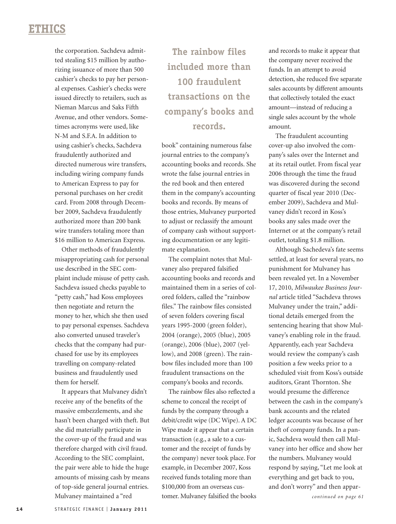### **ETHICS**

the corporation. Sachdeva admitted stealing \$15 million by authorizing issuance of more than 500 cashier's checks to pay her personal expenses. Cashier's checks were issued directly to retailers, such as Nieman Marcus and Saks Fifth Avenue, and other vendors. Sometimes acronyms were used, like N-M and S.F.A. In addition to using cashier's checks, Sachdeva fraudulently authorized and directed numerous wire transfers, including wiring company funds to American Express to pay for personal purchases on her credit card. From 2008 through December 2009, Sachdeva fraudulently authorized more than 200 bank wire transfers totaling more than \$16 million to American Express.

Other methods of fraudulently misappropriating cash for personal use described in the SEC complaint include misuse of petty cash. Sachdeva issued checks payable to "petty cash," had Koss employees then negotiate and return the money to her, which she then used to pay personal expenses. Sachdeva also converted unused traveler's checks that the company had purchased for use by its employees travelling on company-related business and fraudulently used them for herself.

It appears that Mulvaney didn't receive any of the benefits of the massive embezzlements, and she hasn't been charged with theft. But she did materially participate in the cover-up of the fraud and was therefore charged with civil fraud. According to the SEC complaint, the pair were able to hide the huge amounts of missing cash by means of top-side general journal entries. Mulvaney maintained a "red

**The rainbow files included more than 100 fraudulent transactions on the company's books and records.**

book" containing numerous false journal entries to the company's accounting books and records. She wrote the false journal entries in the red book and then entered them in the company's accounting books and records. By means of those entries, Mulvaney purported to adjust or reclassify the amount of company cash without supporting documentation or any legitimate explanation.

The complaint notes that Mulvaney also prepared falsified accounting books and records and maintained them in a series of colored folders, called the "rainbow files." The rainbow files consisted of seven folders covering fiscal years 1995-2000 (green folder), 2004 (orange), 2005 (blue), 2005 (orange), 2006 (blue), 2007 (yellow), and 2008 (green). The rainbow files included more than 100 fraudulent transactions on the company's books and records.

The rainbow files also reflected a scheme to conceal the receipt of funds by the company through a debit/credit wipe (DC Wipe). A DC Wipe made it appear that a certain transaction (e.g., a sale to a customer and the receipt of funds by the company) never took place. For example, in December 2007, Koss received funds totaling more than \$100,000 from an overseas customer. Mulvaney falsified the books

and records to make it appear that the company never received the funds. In an attempt to avoid detection, she reduced five separate sales accounts by different amounts that collectively totaled the exact amount—instead of reducing a single sales account by the whole amount.

The fraudulent accounting cover-up also involved the company's sales over the Internet and at its retail outlet. From fiscal year 2006 through the time the fraud was discovered during the second quarter of fiscal year 2010 (December 2009), Sachdeva and Mulvaney didn't record in Koss's books any sales made over the Internet or at the company's retail outlet, totaling \$1.8 million.

Although Sachedeva's fate seems settled, at least for several years, no punishment for Mulvaney has been revealed yet. In a November 17, 2010, *Milwaukee Business Journal* article titled "Sachdeva throws Mulvaney under the train," additional details emerged from the sentencing hearing that show Mulvaney's enabling role in the fraud. Apparently, each year Sachdeva would review the company's cash position a few weeks prior to a scheduled visit from Koss's outside auditors, Grant Thornton. She would presume the difference between the cash in the company's bank accounts and the related ledger accounts was because of her theft of company funds. In a panic, Sachdeva would then call Mulvaney into her office and show her the numbers. Mulvaney would respond by saying, "Let me look at everything and get back to you, and don't worry" and then appar-

*continued on page 61*